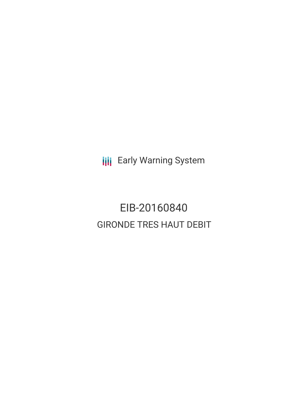**III** Early Warning System

EIB-20160840 GIRONDE TRES HAUT DEBIT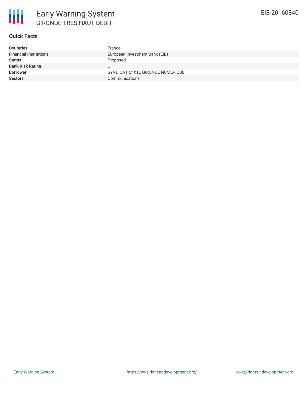

## **Quick Facts**

| <b>Countries</b>              | France                           |
|-------------------------------|----------------------------------|
| <b>Financial Institutions</b> | European Investment Bank (EIB)   |
| <b>Status</b>                 | Proposed                         |
| <b>Bank Risk Rating</b>       |                                  |
| <b>Borrower</b>               | SYNDICAT MIXTE GIRONDE NUMERIQUE |
| <b>Sectors</b>                | Communications                   |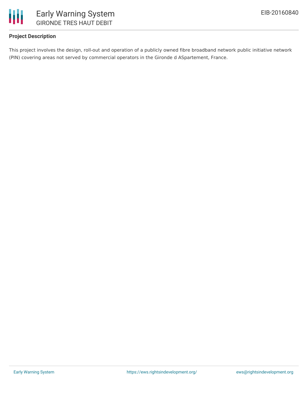

# **Project Description**

This project involves the design, roll-out and operation of a publicly owned fibre broadband network public initiative network (PIN) covering areas not served by commercial operators in the Gironde d ASpartement, France.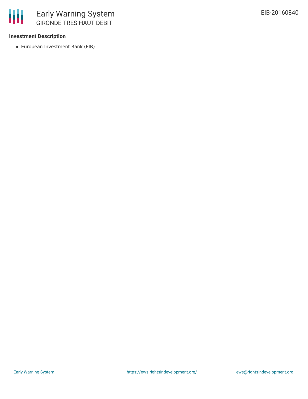

### **Investment Description**

European Investment Bank (EIB)